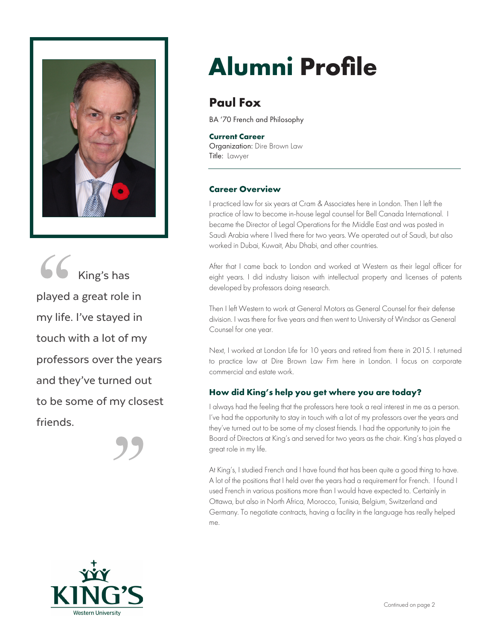

66 King's has played a great role in my life. I've stayed in touch with a lot of my professors over the years and they've turned out to be some of my closest friends.

# **Alumni Profile**

# **Paul Fox**

BA '70 French and Philosophy

#### **Current Career**

Organization: Dire Brown Law Title: Lawyer

# **Career Overview**

I practiced law for six years at Cram & Associates here in London. Then I left the practice of law to become in-house legal counsel for Bell Canada International. I became the Director of Legal Operations for the Middle East and was posted in Saudi Arabia where I lived there for two years. We operated out of Saudi, but also worked in Dubai, Kuwait, Abu Dhabi, and other countries.

After that I came back to London and worked at Western as their legal officer for eight years. I did industry liaison with intellectual property and licenses of patents developed by professors doing research.

Then I left Western to work at General Motors as General Counsel for their defense division. I was there for five years and then went to University of Windsor as General Counsel for one year.

Next, I worked at London Life for 10 years and retired from there in 2015. I returned to practice law at Dire Brown Law Firm here in London. I focus on corporate commercial and estate work.

# **How did King's help you get where you are today?**

I always had the feeling that the professors here took a real interest in me as a person. I've had the opportunity to stay in touch with a lot of my professors over the years and they've turned out to be some of my closest friends. I had the opportunity to join the Board of Directors at King's and served for two years as the chair. King's has played a great role in my life.

At King's, I studied French and I have found that has been quite a good thing to have. A lot of the positions that I held over the years had a requirement for French. I found I used French in various positions more than I would have expected to. Certainly in Ottawa, but also in North Africa, Morocco, Tunisia, Belgium, Switzerland and Germany. To negotiate contracts, having a facility in the language has really helped me.